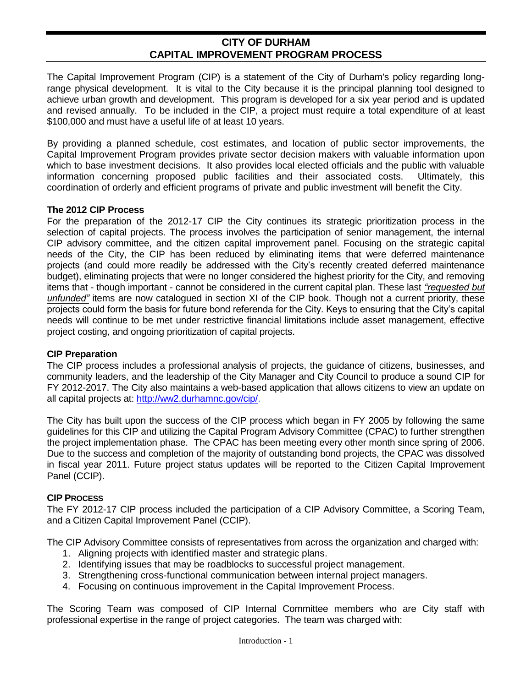#### **CITY OF DURHAM CAPITAL IMPROVEMENT PROGRAM PROCESS**

The Capital Improvement Program (CIP) is a statement of the City of Durham's policy regarding longrange physical development. It is vital to the City because it is the principal planning tool designed to achieve urban growth and development. This program is developed for a six year period and is updated and revised annually. To be included in the CIP, a project must require a total expenditure of at least \$100,000 and must have a useful life of at least 10 years.

By providing a planned schedule, cost estimates, and location of public sector improvements, the Capital Improvement Program provides private sector decision makers with valuable information upon which to base investment decisions. It also provides local elected officials and the public with valuable information concerning proposed public facilities and their associated costs. Ultimately, this coordination of orderly and efficient programs of private and public investment will benefit the City.

#### **The 2012 CIP Process**

For the preparation of the 2012-17 CIP the City continues its strategic prioritization process in the selection of capital projects. The process involves the participation of senior management, the internal CIP advisory committee, and the citizen capital improvement panel. Focusing on the strategic capital needs of the City, the CIP has been reduced by eliminating items that were deferred maintenance projects (and could more readily be addressed with the City's recently created deferred maintenance budget), eliminating projects that were no longer considered the highest priority for the City, and removing items that - though important - cannot be considered in the current capital plan. These last *"requested but unfunded"* items are now catalogued in section XI of the CIP book. Though not a current priority, these projects could form the basis for future bond referenda for the City. Keys to ensuring that the City's capital needs will continue to be met under restrictive financial limitations include asset management, effective project costing, and ongoing prioritization of capital projects.

#### **CIP Preparation**

The CIP process includes a professional analysis of projects, the guidance of citizens, businesses, and community leaders, and the leadership of the City Manager and City Council to produce a sound CIP for FY 2012-2017. The City also maintains a web-based application that allows citizens to view an update on all capital projects at: [http://ww2.durhamnc.gov/cip/.](http://ww2.durhamnc.gov/cip/)

The City has built upon the success of the CIP process which began in FY 2005 by following the same guidelines for this CIP and utilizing the Capital Program Advisory Committee (CPAC) to further strengthen the project implementation phase. The CPAC has been meeting every other month since spring of 2006. Due to the success and completion of the majority of outstanding bond projects, the CPAC was dissolved in fiscal year 2011. Future project status updates will be reported to the Citizen Capital Improvement Panel (CCIP).

#### **CIP PROCESS**

The FY 2012-17 CIP process included the participation of a CIP Advisory Committee, a Scoring Team, and a Citizen Capital Improvement Panel (CCIP).

The CIP Advisory Committee consists of representatives from across the organization and charged with:

- 1. Aligning projects with identified master and strategic plans.
- 2. Identifying issues that may be roadblocks to successful project management.
- 3. Strengthening cross-functional communication between internal project managers.
- 4. Focusing on continuous improvement in the Capital Improvement Process.

The Scoring Team was composed of CIP Internal Committee members who are City staff with professional expertise in the range of project categories. The team was charged with: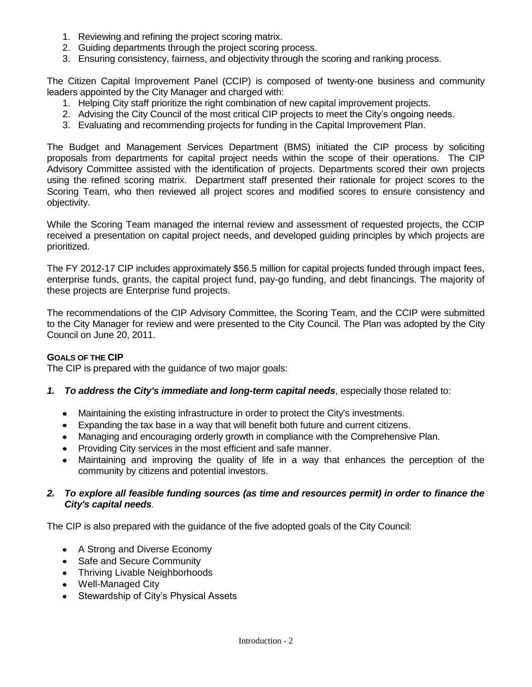- 1. Reviewing and refining the project scoring matrix.
- 2. Guiding departments through the project scoring process.
- 3. Ensuring consistency, fairness, and objectivity through the scoring and ranking process.

The Citizen Capital Improvement Panel (CCIP) is composed of twenty-one business and community leaders appointed by the City Manager and charged with:

- 1. Helping City staff prioritize the right combination of new capital improvement projects.
- 2. Advising the City Council of the most critical CIP projects to meet the City's ongoing needs.
- 3. Evaluating and recommending projects for funding in the Capital Improvement Plan.

The Budget and Management Services Department (BMS) initiated the CIP process by soliciting proposals from departments for capital project needs within the scope of their operations. The CIP Advisory Committee assisted with the identification of projects. Departments scored their own projects using the refined scoring matrix. Department staff presented their rationale for project scores to the Scoring Team, who then reviewed all project scores and modified scores to ensure consistency and objectivity.

While the Scoring Team managed the internal review and assessment of requested projects, the CCIP received a presentation on capital project needs, and developed guiding principles by which projects are prioritized.

The FY 2012-17 CIP includes approximately \$56.5 million for capital projects funded through impact fees, enterprise funds, grants, the capital project fund, pay-go funding, and debt financings. The majority of these projects are Enterprise fund projects.

The recommendations of the CIP Advisory Committee, the Scoring Team, and the CCIP were submitted to the City Manager for review and were presented to the City Council. The Plan was adopted by the City Council on June 20, 2011.

# **GOALS OF THE CIP**

The CIP is prepared with the guidance of two major goals:

- *1. To address the City's immediate and long-term capital needs*, especially those related to:
	- Maintaining the existing infrastructure in order to protect the City's investments.
	- Expanding the tax base in a way that will benefit both future and current citizens.
	- Managing and encouraging orderly growth in compliance with the Comprehensive Plan.
	- Providing City services in the most efficient and safe manner.
	- Maintaining and improving the quality of life in a way that enhances the perception of the community by citizens and potential investors.

# *2. To explore all feasible funding sources (as time and resources permit) in order to finance the City's capital needs.*

The CIP is also prepared with the guidance of the five adopted goals of the City Council:

- A Strong and Diverse Economy
- Safe and Secure Community
- Thriving Livable Neighborhoods
- Well-Managed City
- Stewardship of City's Physical Assets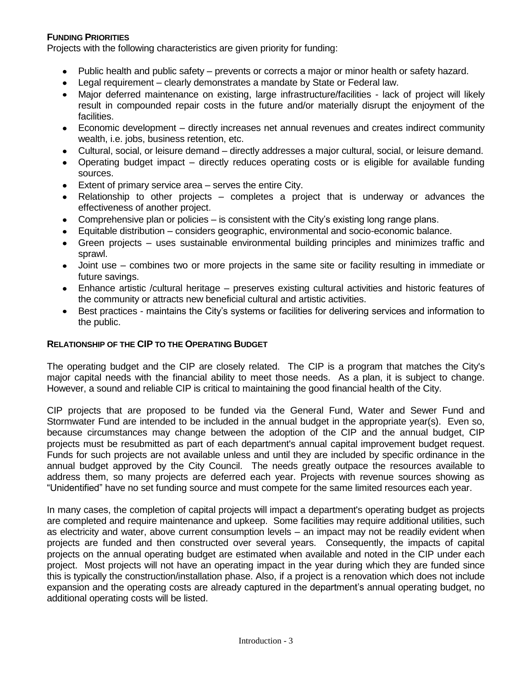# **FUNDING PRIORITIES**

Projects with the following characteristics are given priority for funding:

- Public health and public safety prevents or corrects a major or minor health or safety hazard.
- Legal requirement clearly demonstrates a mandate by State or Federal law.
- Major deferred maintenance on existing, large infrastructure/facilities lack of project will likely result in compounded repair costs in the future and/or materially disrupt the enjoyment of the facilities.
- Economic development directly increases net annual revenues and creates indirect community  $\bullet$ wealth, i.e. jobs, business retention, etc.
- Cultural, social, or leisure demand directly addresses a major cultural, social, or leisure demand.
- Operating budget impact directly reduces operating costs or is eligible for available funding sources.
- Extent of primary service area serves the entire City.
- Relationship to other projects completes a project that is underway or advances the effectiveness of another project.
- Comprehensive plan or policies is consistent with the City's existing long range plans.
- Equitable distribution considers geographic, environmental and socio-economic balance.
- Green projects uses sustainable environmental building principles and minimizes traffic and  $\bullet$ sprawl.
- Joint use combines two or more projects in the same site or facility resulting in immediate or future savings.
- Enhance artistic /cultural heritage preserves existing cultural activities and historic features of the community or attracts new beneficial cultural and artistic activities.
- Best practices maintains the City's systems or facilities for delivering services and information to the public.

#### **RELATIONSHIP OF THE CIP TO THE OPERATING BUDGET**

The operating budget and the CIP are closely related. The CIP is a program that matches the City's major capital needs with the financial ability to meet those needs. As a plan, it is subject to change. However, a sound and reliable CIP is critical to maintaining the good financial health of the City.

CIP projects that are proposed to be funded via the General Fund, Water and Sewer Fund and Stormwater Fund are intended to be included in the annual budget in the appropriate year(s). Even so, because circumstances may change between the adoption of the CIP and the annual budget, CIP projects must be resubmitted as part of each department's annual capital improvement budget request. Funds for such projects are not available unless and until they are included by specific ordinance in the annual budget approved by the City Council. The needs greatly outpace the resources available to address them, so many projects are deferred each year. Projects with revenue sources showing as "Unidentified" have no set funding source and must compete for the same limited resources each year.

In many cases, the completion of capital projects will impact a department's operating budget as projects are completed and require maintenance and upkeep. Some facilities may require additional utilities, such as electricity and water, above current consumption levels – an impact may not be readily evident when projects are funded and then constructed over several years. Consequently, the impacts of capital projects on the annual operating budget are estimated when available and noted in the CIP under each project. Most projects will not have an operating impact in the year during which they are funded since this is typically the construction/installation phase. Also, if a project is a renovation which does not include expansion and the operating costs are already captured in the department's annual operating budget, no additional operating costs will be listed.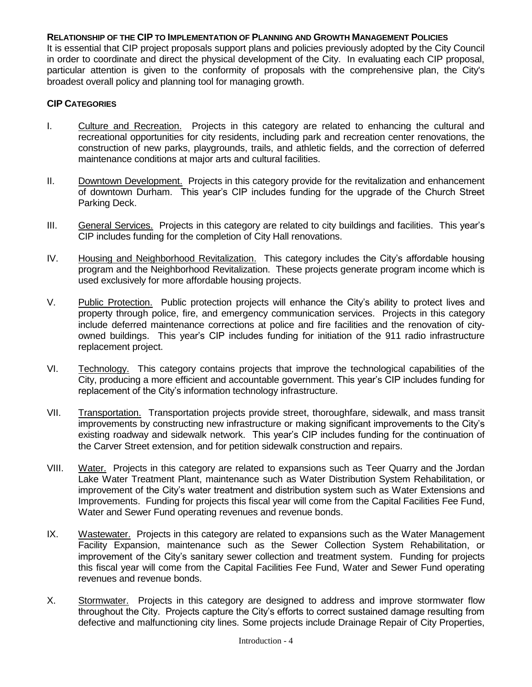#### **RELATIONSHIP OF THE CIP TO IMPLEMENTATION OF PLANNING AND GROWTH MANAGEMENT POLICIES**

It is essential that CIP project proposals support plans and policies previously adopted by the City Council in order to coordinate and direct the physical development of the City. In evaluating each CIP proposal, particular attention is given to the conformity of proposals with the comprehensive plan, the City's broadest overall policy and planning tool for managing growth.

#### **CIP CATEGORIES**

- I. Culture and Recreation. Projects in this category are related to enhancing the cultural and recreational opportunities for city residents, including park and recreation center renovations, the construction of new parks, playgrounds, trails, and athletic fields, and the correction of deferred maintenance conditions at major arts and cultural facilities.
- II. Downtown Development. Projects in this category provide for the revitalization and enhancement of downtown Durham. This year's CIP includes funding for the upgrade of the Church Street Parking Deck.
- III. General Services. Projects in this category are related to city buildings and facilities. This year's CIP includes funding for the completion of City Hall renovations.
- IV. Housing and Neighborhood Revitalization. This category includes the City's affordable housing program and the Neighborhood Revitalization. These projects generate program income which is used exclusively for more affordable housing projects.
- V. Public Protection. Public protection projects will enhance the City's ability to protect lives and property through police, fire, and emergency communication services. Projects in this category include deferred maintenance corrections at police and fire facilities and the renovation of cityowned buildings. This year's CIP includes funding for initiation of the 911 radio infrastructure replacement project.
- VI. Technology. This category contains projects that improve the technological capabilities of the City, producing a more efficient and accountable government. This year's CIP includes funding for replacement of the City's information technology infrastructure.
- VII. Transportation. Transportation projects provide street, thoroughfare, sidewalk, and mass transit improvements by constructing new infrastructure or making significant improvements to the City's existing roadway and sidewalk network. This year's CIP includes funding for the continuation of the Carver Street extension, and for petition sidewalk construction and repairs.
- VIII. Water. Projects in this category are related to expansions such as Teer Quarry and the Jordan Lake Water Treatment Plant, maintenance such as Water Distribution System Rehabilitation, or improvement of the City's water treatment and distribution system such as Water Extensions and Improvements. Funding for projects this fiscal year will come from the Capital Facilities Fee Fund, Water and Sewer Fund operating revenues and revenue bonds.
- IX. Wastewater. Projects in this category are related to expansions such as the Water Management Facility Expansion, maintenance such as the Sewer Collection System Rehabilitation, or improvement of the City's sanitary sewer collection and treatment system. Funding for projects this fiscal year will come from the Capital Facilities Fee Fund, Water and Sewer Fund operating revenues and revenue bonds.
- X. Stormwater. Projects in this category are designed to address and improve stormwater flow throughout the City. Projects capture the City's efforts to correct sustained damage resulting from defective and malfunctioning city lines. Some projects include Drainage Repair of City Properties,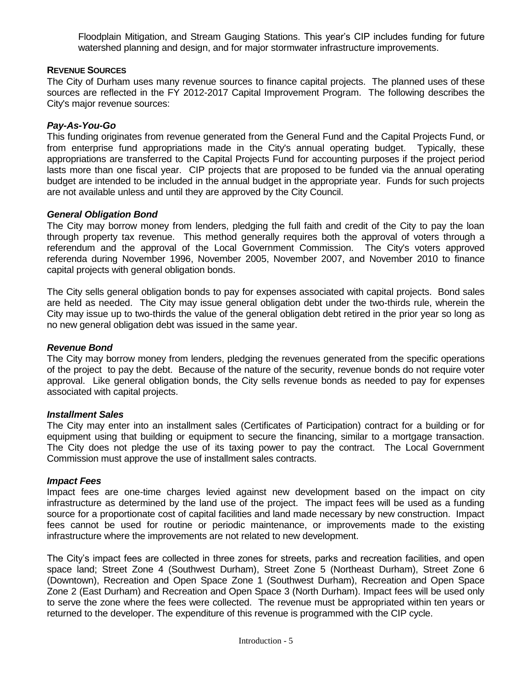Floodplain Mitigation, and Stream Gauging Stations. This year's CIP includes funding for future watershed planning and design, and for major stormwater infrastructure improvements.

# **REVENUE SOURCES**

The City of Durham uses many revenue sources to finance capital projects. The planned uses of these sources are reflected in the FY 2012-2017 Capital Improvement Program. The following describes the City's major revenue sources:

# *Pay-As-You-Go*

This funding originates from revenue generated from the General Fund and the Capital Projects Fund, or from enterprise fund appropriations made in the City's annual operating budget. Typically, these appropriations are transferred to the Capital Projects Fund for accounting purposes if the project period lasts more than one fiscal year. CIP projects that are proposed to be funded via the annual operating budget are intended to be included in the annual budget in the appropriate year. Funds for such projects are not available unless and until they are approved by the City Council.

# *General Obligation Bond*

The City may borrow money from lenders, pledging the full faith and credit of the City to pay the loan through property tax revenue. This method generally requires both the approval of voters through a referendum and the approval of the Local Government Commission. The City's voters approved referenda during November 1996, November 2005, November 2007, and November 2010 to finance capital projects with general obligation bonds.

The City sells general obligation bonds to pay for expenses associated with capital projects. Bond sales are held as needed. The City may issue general obligation debt under the two-thirds rule, wherein the City may issue up to two-thirds the value of the general obligation debt retired in the prior year so long as no new general obligation debt was issued in the same year.

# *Revenue Bond*

The City may borrow money from lenders, pledging the revenues generated from the specific operations of the project to pay the debt. Because of the nature of the security, revenue bonds do not require voter approval. Like general obligation bonds, the City sells revenue bonds as needed to pay for expenses associated with capital projects.

# *Installment Sales*

The City may enter into an installment sales (Certificates of Participation) contract for a building or for equipment using that building or equipment to secure the financing, similar to a mortgage transaction. The City does not pledge the use of its taxing power to pay the contract. The Local Government Commission must approve the use of installment sales contracts.

# *Impact Fees*

Impact fees are one-time charges levied against new development based on the impact on city infrastructure as determined by the land use of the project. The impact fees will be used as a funding source for a proportionate cost of capital facilities and land made necessary by new construction. Impact fees cannot be used for routine or periodic maintenance, or improvements made to the existing infrastructure where the improvements are not related to new development.

The City's impact fees are collected in three zones for streets, parks and recreation facilities, and open space land; Street Zone 4 (Southwest Durham), Street Zone 5 (Northeast Durham), Street Zone 6 (Downtown), Recreation and Open Space Zone 1 (Southwest Durham), Recreation and Open Space Zone 2 (East Durham) and Recreation and Open Space 3 (North Durham). Impact fees will be used only to serve the zone where the fees were collected. The revenue must be appropriated within ten years or returned to the developer. The expenditure of this revenue is programmed with the CIP cycle.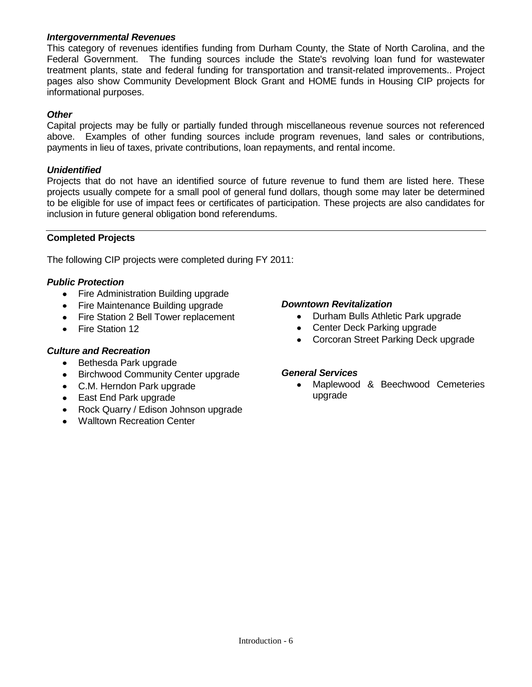# *Intergovernmental Revenues*

This category of revenues identifies funding from Durham County, the State of North Carolina, and the Federal Government. The funding sources include the State's revolving loan fund for wastewater treatment plants, state and federal funding for transportation and transit-related improvements.. Project pages also show Community Development Block Grant and HOME funds in Housing CIP projects for informational purposes.

# *Other*

Capital projects may be fully or partially funded through miscellaneous revenue sources not referenced above. Examples of other funding sources include program revenues, land sales or contributions, payments in lieu of taxes, private contributions, loan repayments, and rental income.

# *Unidentified*

Projects that do not have an identified source of future revenue to fund them are listed here. These projects usually compete for a small pool of general fund dollars, though some may later be determined to be eligible for use of impact fees or certificates of participation. These projects are also candidates for inclusion in future general obligation bond referendums.

# **Completed Projects**

The following CIP projects were completed during FY 2011:

# *Public Protection*

- Fire Administration Building upgrade
- Fire Maintenance Building upgrade
- Fire Station 2 Bell Tower replacement
- Fire Station 12

# *Culture and Recreation*

- Bethesda Park upgrade
- Birchwood Community Center upgrade
- C.M. Herndon Park upgrade
- East End Park upgrade
- Rock Quarry / Edison Johnson upgrade
- Walltown Recreation Center

# *Downtown Revitalization*

- Durham Bulls Athletic Park upgrade
- Center Deck Parking upgrade
- Corcoran Street Parking Deck upgrade

#### *General Services*

Maplewood & Beechwood Cemeteries  $\bullet$ upgrade